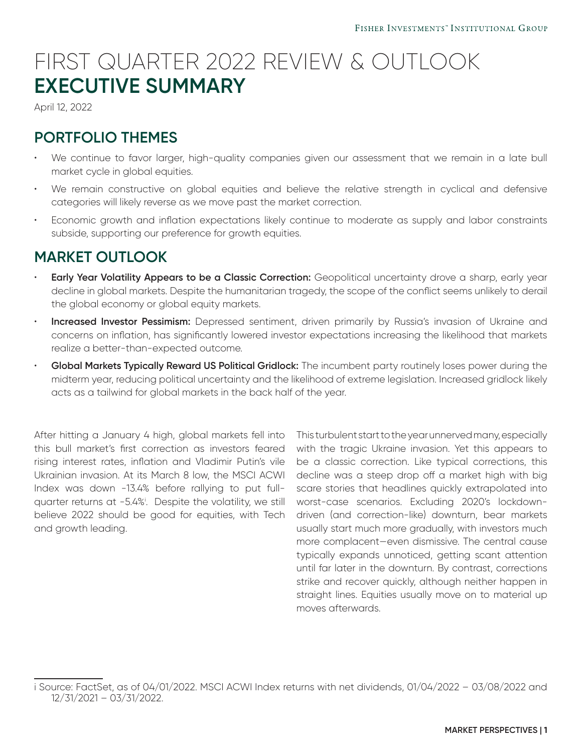## FIRST QUARTER 2022 REVIEW & OUTLOOK **EXECUTIVE SUMMARY**

April 12, 2022

## **PORTFOLIO THEMES**

- We continue to favor larger, high-quality companies given our assessment that we remain in a late bull market cycle in global equities.
- We remain constructive on global equities and believe the relative strength in cyclical and defensive categories will likely reverse as we move past the market correction.
- Economic growth and inflation expectations likely continue to moderate as supply and labor constraints subside, supporting our preference for growth equities.

## **MARKET OUTLOOK**

- **Early Year Volatility Appears to be a Classic Correction:** Geopolitical uncertainty drove a sharp, early year decline in global markets. Despite the humanitarian tragedy, the scope of the conflict seems unlikely to derail the global economy or global equity markets.
- **Increased Investor Pessimism:** Depressed sentiment, driven primarily by Russia's invasion of Ukraine and concerns on inflation, has significantly lowered investor expectations increasing the likelihood that markets realize a better-than-expected outcome.
- **Global Markets Typically Reward US Political Gridlock:** The incumbent party routinely loses power during the midterm year, reducing political uncertainty and the likelihood of extreme legislation. Increased gridlock likely acts as a tailwind for global markets in the back half of the year.

After hitting a January 4 high, global markets fell into this bull market's first correction as investors feared rising interest rates, inflation and Vladimir Putin's vile Ukrainian invasion. At its March 8 low, the MSCI ACWI Index was down -13.4% before rallying to put fullquarter returns at -5.4%<sup>i</sup>. Despite the volatility, we still believe 2022 should be good for equities, with Tech and growth leading.

This turbulent start to the year unnerved many, especially with the tragic Ukraine invasion. Yet this appears to be a classic correction. Like typical corrections, this decline was a steep drop off a market high with big scare stories that headlines quickly extrapolated into worst-case scenarios. Excluding 2020's lockdowndriven (and correction-like) downturn, bear markets usually start much more gradually, with investors much more complacent—even dismissive. The central cause typically expands unnoticed, getting scant attention until far later in the downturn. By contrast, corrections strike and recover quickly, although neither happen in straight lines. Equities usually move on to material up moves afterwards.

i Source: FactSet, as of 04/01/2022. MSCI ACWI Index returns with net dividends, 01/04/2022 – 03/08/2022 and 12/31/2021 – 03/31/2022.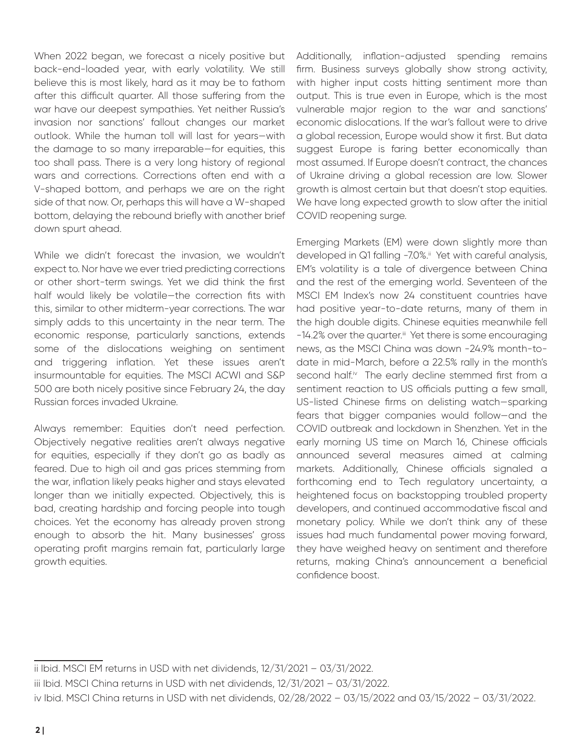When 2022 began, we forecast a nicely positive but back-end-loaded year, with early volatility. We still believe this is most likely, hard as it may be to fathom after this difficult quarter. All those suffering from the war have our deepest sympathies. Yet neither Russia's invasion nor sanctions' fallout changes our market outlook. While the human toll will last for years—with the damage to so many irreparable—for equities, this too shall pass. There is a very long history of regional wars and corrections. Corrections often end with a V-shaped bottom, and perhaps we are on the right side of that now. Or, perhaps this will have a W-shaped bottom, delaying the rebound briefly with another brief down spurt ahead.

While we didn't forecast the invasion, we wouldn't expect to. Nor have we ever tried predicting corrections or other short-term swings. Yet we did think the first half would likely be volatile—the correction fits with this, similar to other midterm-year corrections. The war simply adds to this uncertainty in the near term. The economic response, particularly sanctions, extends some of the dislocations weighing on sentiment and triggering inflation. Yet these issues aren't insurmountable for equities. The MSCI ACWI and S&P 500 are both nicely positive since February 24, the day Russian forces invaded Ukraine.

Always remember: Equities don't need perfection. Objectively negative realities aren't always negative for equities, especially if they don't go as badly as feared. Due to high oil and gas prices stemming from the war, inflation likely peaks higher and stays elevated longer than we initially expected. Objectively, this is bad, creating hardship and forcing people into tough choices. Yet the economy has already proven strong enough to absorb the hit. Many businesses' gross operating profit margins remain fat, particularly large growth equities.

Additionally, inflation-adjusted spending remains firm. Business surveys globally show strong activity, with higher input costs hitting sentiment more than output. This is true even in Europe, which is the most vulnerable major region to the war and sanctions' economic dislocations. If the war's fallout were to drive a global recession, Europe would show it first. But data suggest Europe is faring better economically than most assumed. If Europe doesn't contract, the chances of Ukraine driving a global recession are low. Slower growth is almost certain but that doesn't stop equities. We have long expected growth to slow after the initial COVID reopening surge.

Emerging Markets (EM) were down slightly more than developed in Q1 falling -7.0%.<sup>ii</sup> Yet with careful analysis, EM's volatility is a tale of divergence between China and the rest of the emerging world. Seventeen of the MSCI EM Index's now 24 constituent countries have had positive year-to-date returns, many of them in the high double digits. Chinese equities meanwhile fell -14.2% over the quarter.<sup>iii</sup> Yet there is some encouraging news, as the MSCI China was down -24.9% month-todate in mid-March, before a 22.5% rally in the month's second half.<sup>iv</sup> The early decline stemmed first from a sentiment reaction to US officials putting a few small, US-listed Chinese firms on delisting watch—sparking fears that bigger companies would follow—and the COVID outbreak and lockdown in Shenzhen. Yet in the early morning US time on March 16, Chinese officials announced several measures aimed at calming markets. Additionally, Chinese officials signaled a forthcoming end to Tech regulatory uncertainty, a heightened focus on backstopping troubled property developers, and continued accommodative fiscal and monetary policy. While we don't think any of these issues had much fundamental power moving forward, they have weighed heavy on sentiment and therefore returns, making China's announcement a beneficial confidence boost.

ii Ibid. MSCI EM returns in USD with net dividends, 12/31/2021 – 03/31/2022.

iii Ibid. MSCI China returns in USD with net dividends, 12/31/2021 – 03/31/2022.

iv Ibid. MSCI China returns in USD with net dividends, 02/28/2022 – 03/15/2022 and 03/15/2022 – 03/31/2022.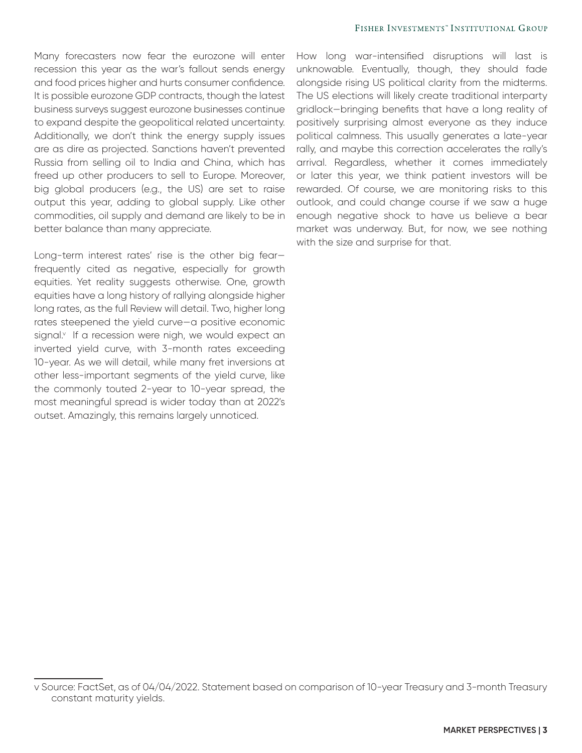Many forecasters now fear the eurozone will enter recession this year as the war's fallout sends energy and food prices higher and hurts consumer confidence. It is possible eurozone GDP contracts, though the latest business surveys suggest eurozone businesses continue to expand despite the geopolitical related uncertainty. Additionally, we don't think the energy supply issues are as dire as projected. Sanctions haven't prevented Russia from selling oil to India and China, which has freed up other producers to sell to Europe. Moreover, big global producers (e.g., the US) are set to raise output this year, adding to global supply. Like other commodities, oil supply and demand are likely to be in better balance than many appreciate.

Long-term interest rates' rise is the other big fear frequently cited as negative, especially for growth equities. Yet reality suggests otherwise. One, growth equities have a long history of rallying alongside higher long rates, as the full Review will detail. Two, higher long rates steepened the yield curve—a positive economic signal.<sup>v</sup> If a recession were nigh, we would expect an inverted yield curve, with 3-month rates exceeding 10-year. As we will detail, while many fret inversions at other less-important segments of the yield curve, like the commonly touted 2-year to 10-year spread, the most meaningful spread is wider today than at 2022's outset. Amazingly, this remains largely unnoticed.

How long war-intensified disruptions will last is unknowable. Eventually, though, they should fade alongside rising US political clarity from the midterms. The US elections will likely create traditional interparty gridlock—bringing benefits that have a long reality of positively surprising almost everyone as they induce political calmness. This usually generates a late-year rally, and maybe this correction accelerates the rally's arrival. Regardless, whether it comes immediately or later this year, we think patient investors will be rewarded. Of course, we are monitoring risks to this outlook, and could change course if we saw a huge enough negative shock to have us believe a bear market was underway. But, for now, we see nothing with the size and surprise for that.

v Source: FactSet, as of 04/04/2022. Statement based on comparison of 10-year Treasury and 3-month Treasury constant maturity yields.